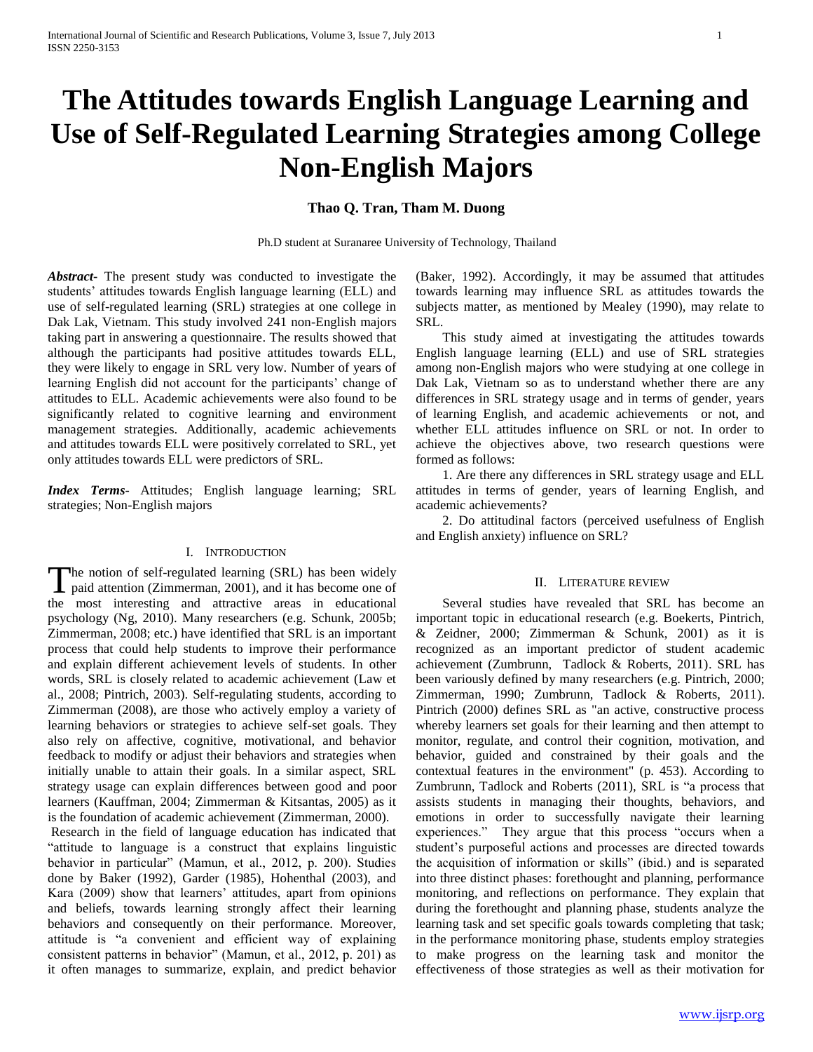# **The Attitudes towards English Language Learning and Use of Self-Regulated Learning Strategies among College Non-English Majors**

## **Thao Q. Tran, Tham M. Duong**

Ph.D student at Suranaree University of Technology, Thailand

*Abstract***-** The present study was conducted to investigate the students" attitudes towards English language learning (ELL) and use of self-regulated learning (SRL) strategies at one college in Dak Lak, Vietnam. This study involved 241 non-English majors taking part in answering a questionnaire. The results showed that although the participants had positive attitudes towards ELL, they were likely to engage in SRL very low. Number of years of learning English did not account for the participants' change of attitudes to ELL. Academic achievements were also found to be significantly related to cognitive learning and environment management strategies. Additionally, academic achievements and attitudes towards ELL were positively correlated to SRL, yet only attitudes towards ELL were predictors of SRL.

*Index Terms*- Attitudes; English language learning; SRL strategies; Non-English majors

## I. INTRODUCTION

The notion of self-regulated learning (SRL) has been widely<br>paid attention (Zimmerman, 2001), and it has become one of **L** paid attention (Zimmerman, 2001), and it has become one of the most interesting and attractive areas in educational psychology (Ng, 2010). Many researchers (e.g. Schunk, 2005b; Zimmerman, 2008; etc.) have identified that SRL is an important process that could help students to improve their performance and explain different achievement levels of students. In other words, SRL is closely related to academic achievement (Law et al., 2008; Pintrich, 2003). Self-regulating students, according to Zimmerman (2008), are those who actively employ a variety of learning behaviors or strategies to achieve self-set goals. They also rely on affective, cognitive, motivational, and behavior feedback to modify or adjust their behaviors and strategies when initially unable to attain their goals. In a similar aspect, SRL strategy usage can explain differences between good and poor learners (Kauffman, 2004; Zimmerman & Kitsantas, 2005) as it is the foundation of academic achievement (Zimmerman, 2000).

Research in the field of language education has indicated that "attitude to language is a construct that explains linguistic behavior in particular" (Mamun, et al., 2012, p. 200). Studies done by Baker (1992), Garder (1985), Hohenthal (2003), and Kara (2009) show that learners' attitudes, apart from opinions and beliefs, towards learning strongly affect their learning behaviors and consequently on their performance. Moreover, attitude is "a convenient and efficient way of explaining consistent patterns in behavior" (Mamun, et al., 2012, p. 201) as it often manages to summarize, explain, and predict behavior

(Baker, 1992). Accordingly, it may be assumed that attitudes towards learning may influence SRL as attitudes towards the subjects matter, as mentioned by Mealey (1990), may relate to SRL.

 This study aimed at investigating the attitudes towards English language learning (ELL) and use of SRL strategies among non-English majors who were studying at one college in Dak Lak, Vietnam so as to understand whether there are any differences in SRL strategy usage and in terms of gender, years of learning English, and academic achievements or not, and whether ELL attitudes influence on SRL or not. In order to achieve the objectives above, two research questions were formed as follows:

 1. Are there any differences in SRL strategy usage and ELL attitudes in terms of gender, years of learning English, and academic achievements?

 2. Do attitudinal factors (perceived usefulness of English and English anxiety) influence on SRL?

#### II. LITERATURE REVIEW

 Several studies have revealed that SRL has become an important topic in educational research (e.g. Boekerts, Pintrich, & Zeidner, 2000; Zimmerman & Schunk, 2001) as it is recognized as an important predictor of student academic achievement (Zumbrunn, Tadlock & Roberts, 2011). SRL has been variously defined by many researchers (e.g. Pintrich, 2000; Zimmerman, 1990; Zumbrunn, Tadlock & Roberts, 2011). Pintrich (2000) defines SRL as "an active, constructive process whereby learners set goals for their learning and then attempt to monitor, regulate, and control their cognition, motivation, and behavior, guided and constrained by their goals and the contextual features in the environment" (p. 453). According to Zumbrunn, Tadlock and Roberts (2011), SRL is "a process that assists students in managing their thoughts, behaviors, and emotions in order to successfully navigate their learning experiences." They argue that this process "occurs when a student"s purposeful actions and processes are directed towards the acquisition of information or skills" (ibid.) and is separated into three distinct phases: forethought and planning, performance monitoring, and reflections on performance. They explain that during the forethought and planning phase, students analyze the learning task and set specific goals towards completing that task; in the performance monitoring phase, students employ strategies to make progress on the learning task and monitor the effectiveness of those strategies as well as their motivation for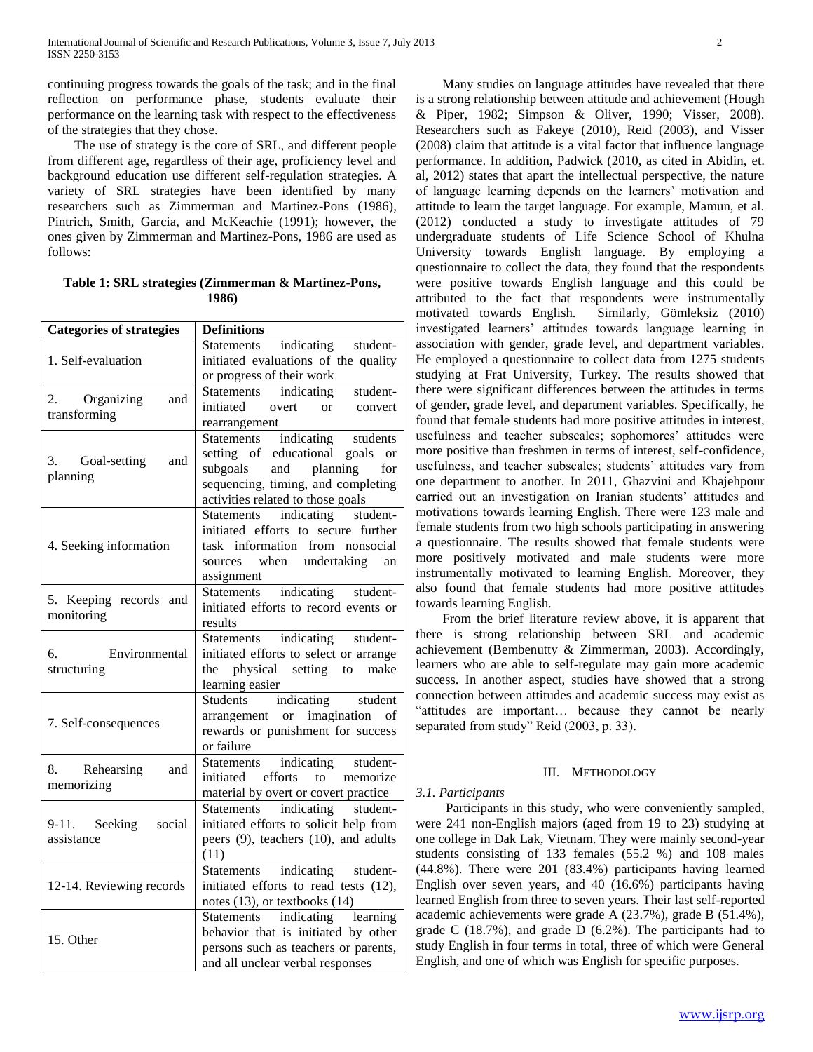continuing progress towards the goals of the task; and in the final reflection on performance phase, students evaluate their performance on the learning task with respect to the effectiveness of the strategies that they chose.

 The use of strategy is the core of SRL, and different people from different age, regardless of their age, proficiency level and background education use different self-regulation strategies. A variety of SRL strategies have been identified by many researchers such as Zimmerman and Martinez-Pons (1986), Pintrich, Smith, Garcia, and McKeachie (1991); however, the ones given by Zimmerman and Martinez-Pons, 1986 are used as follows:

**Table 1: SRL strategies (Zimmerman & Martinez-Pons, 1986)**

| <b>Categories of strategies</b>      | <b>Definitions</b>                                                                                                                                                                            |
|--------------------------------------|-----------------------------------------------------------------------------------------------------------------------------------------------------------------------------------------------|
| 1. Self-evaluation                   | indicating student-<br>Statements<br>initiated evaluations of the quality<br>or progress of their work                                                                                        |
| 2. Organizing<br>and<br>transforming | Statements indicating student-<br>initiated overt<br>$\alpha$<br>convert<br>rearrangement                                                                                                     |
| 3. Goal-setting<br>and<br>planning   | Statements indicating students<br>setting of educational goals<br><sub>or</sub><br>subgoals<br>and planning<br>for<br>sequencing, timing, and completing<br>activities related to those goals |
| 4. Seeking information               | indicating<br>student-<br>Statements<br>initiated efforts to secure further<br>task information from nonsocial<br>sources when undertaking<br>an<br>assignment                                |
| 5. Keeping records and<br>monitoring | Statements indicating student-<br>initiated efforts to record events or<br>results                                                                                                            |
| Environmental<br>б.<br>structuring   | Statements indicating student-<br>initiated efforts to select or arrange<br>physical setting to make<br>the<br>learning easier                                                                |
| 7. Self-consequences                 | Students indicating student<br>arrangement or imagination of<br>rewards or punishment for success<br>or failure                                                                               |
| 8. Rehearsing<br>and<br>memorizing   | Statements indicating student-<br>efforts<br>to memorize<br>initiated<br>material by overt or covert practice                                                                                 |
| 9-11. Seeking social<br>assistance   | Statements indicating student-<br>initiated efforts to solicit help from<br>peers (9), teachers (10), and adults<br>(11)                                                                      |
| 12-14. Reviewing records             | Statements indicating student-<br>initiated efforts to read tests (12),<br>notes $(13)$ , or textbooks $(14)$                                                                                 |
| 15. Other                            | Statements indicating learning<br>behavior that is initiated by other<br>persons such as teachers or parents,<br>and all unclear verbal responses                                             |

 Many studies on language attitudes have revealed that there is a strong relationship between attitude and achievement (Hough & Piper, 1982; Simpson & Oliver, 1990; Visser, 2008). Researchers such as Fakeye (2010), Reid (2003), and Visser (2008) claim that attitude is a vital factor that influence language performance. In addition, Padwick (2010, as cited in Abidin, et. al, 2012) states that apart the intellectual perspective, the nature of language learning depends on the learners' motivation and attitude to learn the target language. For example, Mamun, et al. (2012) conducted a study to investigate attitudes of 79 undergraduate students of Life Science School of Khulna University towards English language. By employing a questionnaire to collect the data, they found that the respondents were positive towards English language and this could be attributed to the fact that respondents were instrumentally motivated towards English. Similarly, Gömleksiz (2010) investigated learners" attitudes towards language learning in association with gender, grade level, and department variables. He employed a questionnaire to collect data from 1275 students studying at Frat University, Turkey. The results showed that there were significant differences between the attitudes in terms of gender, grade level, and department variables. Specifically, he found that female students had more positive attitudes in interest, usefulness and teacher subscales; sophomores' attitudes were more positive than freshmen in terms of interest, self-confidence, usefulness, and teacher subscales; students' attitudes vary from one department to another. In 2011, Ghazvini and Khajehpour carried out an investigation on Iranian students" attitudes and motivations towards learning English. There were 123 male and female students from two high schools participating in answering a questionnaire. The results showed that female students were more positively motivated and male students were more instrumentally motivated to learning English. Moreover, they also found that female students had more positive attitudes towards learning English.

 From the brief literature review above, it is apparent that there is strong relationship between SRL and academic achievement (Bembenutty & Zimmerman, 2003). Accordingly, learners who are able to self-regulate may gain more academic success. In another aspect, studies have showed that a strong connection between attitudes and academic success may exist as "attitudes are important… because they cannot be nearly separated from study" Reid (2003, p. 33).

## III. METHODOLOGY

# *3.1. Participants*

 Participants in this study, who were conveniently sampled, were 241 non-English majors (aged from 19 to 23) studying at one college in Dak Lak, Vietnam. They were mainly second-year students consisting of 133 females (55.2 %) and 108 males (44.8%). There were 201 (83.4%) participants having learned English over seven years, and 40 (16.6%) participants having learned English from three to seven years. Their last self-reported academic achievements were grade A (23.7%), grade B (51.4%), grade C (18.7%), and grade D (6.2%). The participants had to study English in four terms in total, three of which were General English, and one of which was English for specific purposes.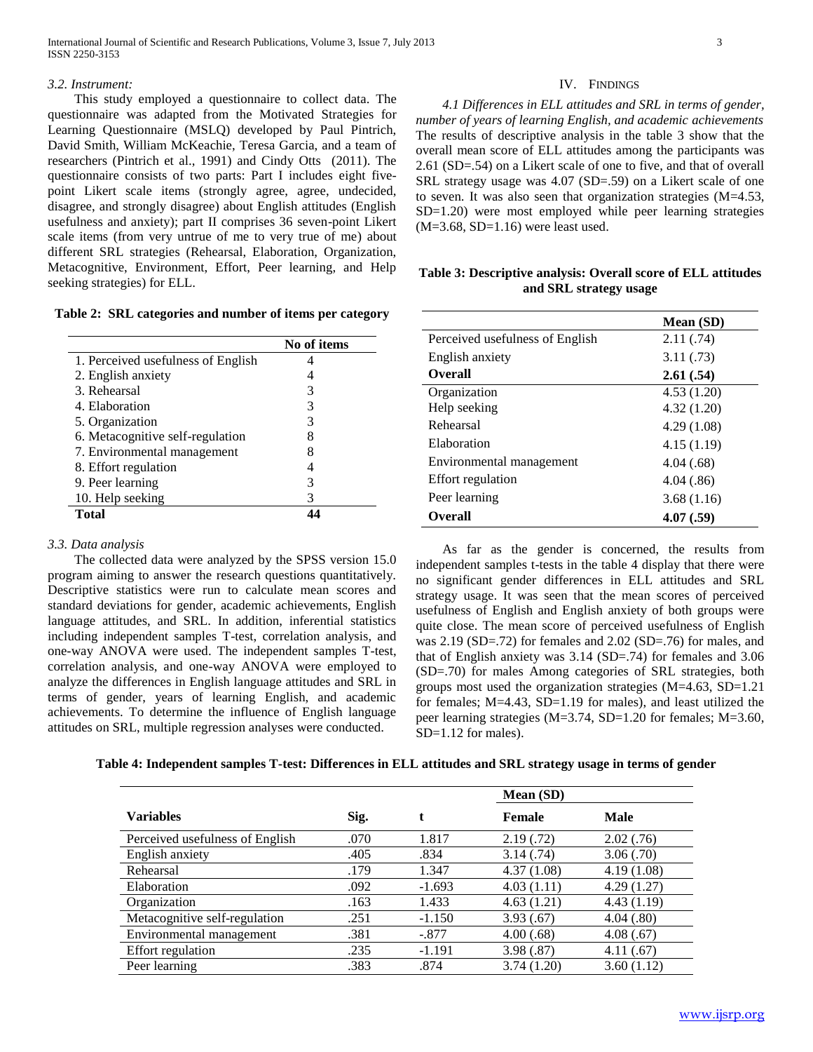### *3.2. Instrument:*

 This study employed a questionnaire to collect data. The questionnaire was adapted from the Motivated Strategies for Learning Questionnaire (MSLQ) developed by Paul Pintrich, David Smith, William McKeachie, Teresa Garcia, and a team of researchers (Pintrich et al., 1991) and Cindy Otts (2011). The questionnaire consists of two parts: Part I includes eight fivepoint Likert scale items (strongly agree, agree, undecided, disagree, and strongly disagree) about English attitudes (English usefulness and anxiety); part II comprises 36 seven-point Likert scale items (from very untrue of me to very true of me) about different SRL strategies (Rehearsal, Elaboration, Organization, Metacognitive, Environment, Effort, Peer learning, and Help seeking strategies) for ELL.

| Table 2: SRL categories and number of items per category |  |  |  |
|----------------------------------------------------------|--|--|--|
|----------------------------------------------------------|--|--|--|

|                                    | No of items |
|------------------------------------|-------------|
| 1. Perceived usefulness of English |             |
| 2. English anxiety                 |             |
| 3. Rehearsal                       | 3           |
| 4. Elaboration                     | 3           |
| 5. Organization                    | 3           |
| 6. Metacognitive self-regulation   | 8           |
| 7. Environmental management        | 8           |
| 8. Effort regulation               |             |
| 9. Peer learning                   | 3           |
| 10. Help seeking                   | 3           |
| <b>Total</b>                       |             |

## *3.3. Data analysis*

 The collected data were analyzed by the SPSS version 15.0 program aiming to answer the research questions quantitatively. Descriptive statistics were run to calculate mean scores and standard deviations for gender, academic achievements, English language attitudes, and SRL. In addition, inferential statistics including independent samples T-test, correlation analysis, and one-way ANOVA were used. The independent samples T-test, correlation analysis, and one-way ANOVA were employed to analyze the differences in English language attitudes and SRL in terms of gender, years of learning English, and academic achievements. To determine the influence of English language attitudes on SRL, multiple regression analyses were conducted.

## IV. FINDINGS

 *4.1 Differences in ELL attitudes and SRL in terms of gender, number of years of learning English, and academic achievements*  The results of descriptive analysis in the table 3 show that the overall mean score of ELL attitudes among the participants was 2.61 (SD=.54) on a Likert scale of one to five, and that of overall SRL strategy usage was 4.07 (SD=.59) on a Likert scale of one to seven. It was also seen that organization strategies (M=4.53, SD=1.20) were most employed while peer learning strategies (M=3.68, SD=1.16) were least used.

| Table 3: Descriptive analysis: Overall score of ELL attitudes |
|---------------------------------------------------------------|
| and SRL strategy usage                                        |

|                                 | Mean (SD)  |
|---------------------------------|------------|
| Perceived usefulness of English | 2.11(.74)  |
| English anxiety                 | 3.11(.73)  |
| <b>Overall</b>                  | 2.61(.54)  |
| Organization                    | 4.53(1.20) |
| Help seeking                    | 4.32(1.20) |
| Rehearsal                       | 4.29(1.08) |
| Elaboration                     | 4.15(1.19) |
| Environmental management        | 4.04(.68)  |
| <b>Effort</b> regulation        | 4.04(.86)  |
| Peer learning                   | 3.68(1.16) |
| <b>Overall</b>                  | 4.07(.59)  |

 As far as the gender is concerned, the results from independent samples t-tests in the table 4 display that there were no significant gender differences in ELL attitudes and SRL strategy usage. It was seen that the mean scores of perceived usefulness of English and English anxiety of both groups were quite close. The mean score of perceived usefulness of English was 2.19 (SD=.72) for females and 2.02 (SD=.76) for males, and that of English anxiety was 3.14 (SD=.74) for females and 3.06 (SD=.70) for males Among categories of SRL strategies, both groups most used the organization strategies (M=4.63, SD=1.21 for females; M=4.43, SD=1.19 for males), and least utilized the peer learning strategies (M=3.74, SD=1.20 for females; M=3.60, SD=1.12 for males).

| Table 4: Independent samples T-test: Differences in ELL attitudes and SRL strategy usage in terms of gender |
|-------------------------------------------------------------------------------------------------------------|
|-------------------------------------------------------------------------------------------------------------|

|                                 |      |          | Mean (SD)   |             |
|---------------------------------|------|----------|-------------|-------------|
| <b>Variables</b>                | Sig. |          | Female      | <b>Male</b> |
| Perceived usefulness of English | .070 | 1.817    | 2.19(0.72)  | 2.02(.76)   |
| English anxiety                 | .405 | .834     | 3.14(.74)   | 3.06(.70)   |
| Rehearsal                       | .179 | 1.347    | 4.37(1.08)  | 4.19(1.08)  |
| Elaboration                     | .092 | $-1.693$ | 4.03(1.11)  | 4.29(1.27)  |
| Organization                    | .163 | 1.433    | 4.63(1.21)  | 4.43(1.19)  |
| Metacognitive self-regulation   | .251 | $-1.150$ | 3.93(.67)   | 4.04(.80)   |
| Environmental management        | .381 | $-.877$  | 4.00(.68)   | 4.08(.67)   |
| <b>Effort</b> regulation        | .235 | $-1.191$ | 3.98(.87)   | 4.11(.67)   |
| Peer learning                   | .383 | .874     | 3.74 (1.20) | 3.60(1.12)  |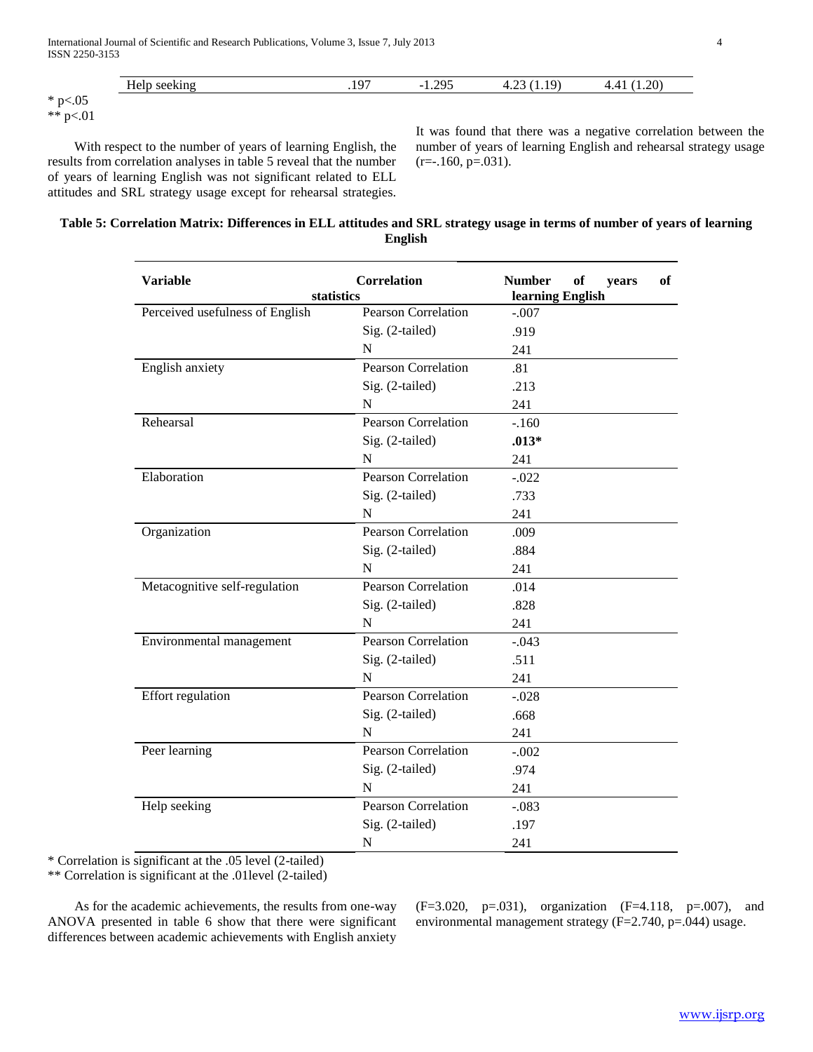| $ -$                     | $\sim$ | 205<br>$\sim$ 1 | 1 Q` | $\Omega$                                            |
|--------------------------|--------|-----------------|------|-----------------------------------------------------|
| <b>TT</b><br>____        | .      | . <i>.</i> .    | ن⊿⊶⊤ | . . <i>.</i><br>the contract of the contract of the |
| $*_{n<}$<br><b></b><br>້ |        |                 |      |                                                     |
| $*$ $*$ $*$ $*$ 0.1      |        |                 |      |                                                     |

\*\* p<.01

 With respect to the number of years of learning English, the results from correlation analyses in table 5 reveal that the number of years of learning English was not significant related to ELL attitudes and SRL strategy usage except for rehearsal strategies.

It was found that there was a negative correlation between the number of years of learning English and rehearsal strategy usage  $(r=-.160, p=.031)$ .

## **Table 5: Correlation Matrix: Differences in ELL attitudes and SRL strategy usage in terms of number of years of learning English**

| <b>Variable</b><br>statistics   | <b>Correlation</b>         | <b>Number</b><br><sub>of</sub><br><b>of</b><br>years<br>learning English |  |  |  |
|---------------------------------|----------------------------|--------------------------------------------------------------------------|--|--|--|
| Perceived usefulness of English | <b>Pearson Correlation</b> | $-.007$                                                                  |  |  |  |
|                                 | Sig. (2-tailed)            | .919                                                                     |  |  |  |
|                                 | N                          | 241                                                                      |  |  |  |
| English anxiety                 | <b>Pearson Correlation</b> | .81                                                                      |  |  |  |
|                                 | Sig. (2-tailed)            | .213                                                                     |  |  |  |
|                                 | N                          | 241                                                                      |  |  |  |
| Rehearsal                       | Pearson Correlation        | $-.160$                                                                  |  |  |  |
|                                 | Sig. (2-tailed)            | $.013*$                                                                  |  |  |  |
|                                 | $\mathbf N$                | 241                                                                      |  |  |  |
| Elaboration                     | <b>Pearson Correlation</b> | $-.022$                                                                  |  |  |  |
|                                 | Sig. (2-tailed)            | .733                                                                     |  |  |  |
|                                 | N                          | 241                                                                      |  |  |  |
| Organization                    | Pearson Correlation        | .009                                                                     |  |  |  |
|                                 | Sig. (2-tailed)            | .884                                                                     |  |  |  |
|                                 | N                          | 241                                                                      |  |  |  |
| Metacognitive self-regulation   | <b>Pearson Correlation</b> | .014                                                                     |  |  |  |
|                                 | Sig. (2-tailed)            | .828                                                                     |  |  |  |
|                                 | N                          | 241                                                                      |  |  |  |
| Environmental management        | <b>Pearson Correlation</b> | $-.043$                                                                  |  |  |  |
|                                 | Sig. (2-tailed)            | .511                                                                     |  |  |  |
|                                 | N                          | 241                                                                      |  |  |  |
| Effort regulation               | <b>Pearson Correlation</b> | $-.028$                                                                  |  |  |  |
|                                 | Sig. (2-tailed)            | .668                                                                     |  |  |  |
|                                 | N                          | 241                                                                      |  |  |  |
| Peer learning                   | Pearson Correlation        | $-.002$                                                                  |  |  |  |
|                                 | Sig. (2-tailed)            | .974                                                                     |  |  |  |
|                                 | N                          | 241                                                                      |  |  |  |
| Help seeking                    | <b>Pearson Correlation</b> | $-.083$                                                                  |  |  |  |
|                                 | Sig. (2-tailed)            | .197                                                                     |  |  |  |
|                                 | N                          | 241                                                                      |  |  |  |

\* Correlation is significant at the .05 level (2-tailed)

\*\* Correlation is significant at the .01level (2-tailed)

 As for the academic achievements, the results from one-way ANOVA presented in table 6 show that there were significant differences between academic achievements with English anxiety

 $(F=3.020, p=.031)$ , organization  $(F=4.118, p=.007)$ , and environmental management strategy (F=2.740, p=.044) usage.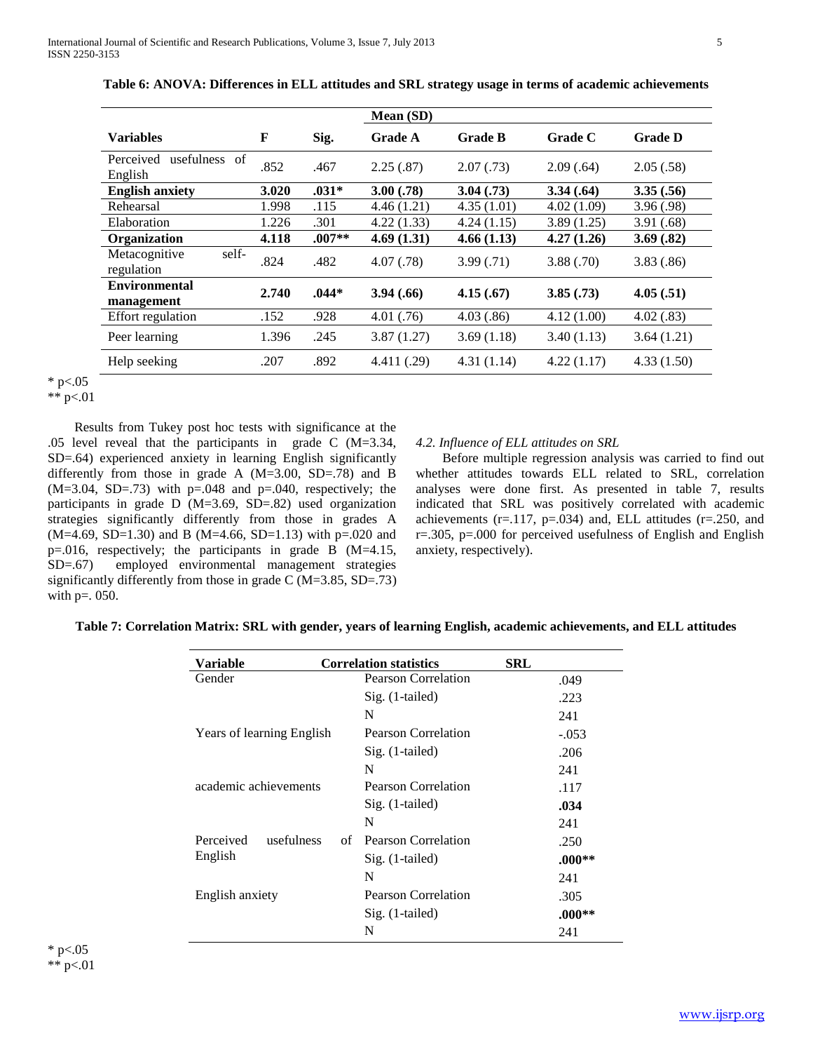|                                       |       |          | Mean (SD)   |                |            |                |
|---------------------------------------|-------|----------|-------------|----------------|------------|----------------|
| Variables                             | F     | Sig.     | Grade A     | <b>Grade B</b> | Grade C    | <b>Grade D</b> |
| Perceived<br>usefulness of<br>English | .852  | .467     | 2.25(.87)   | 2.07(0.73)     | 2.09(.64)  | 2.05(.58)      |
| <b>English anxiety</b>                | 3.020 | $.031*$  | 3.00(.78)   | 3.04(0.73)     | 3.34(.64)  | 3.35(.56)      |
| Rehearsal                             | 1.998 | .115     | 4.46(1.21)  | 4.35(1.01)     | 4.02(1.09) | 3.96(.98)      |
| Elaboration                           | 1.226 | .301     | 4.22(1.33)  | 4.24(1.15)     | 3.89(1.25) | 3.91(.68)      |
| Organization                          | 4.118 | $.007**$ | 4.69(1.31)  | 4.66(1.13)     | 4.27(1.26) | 3.69(.82)      |
| self-<br>Metacognitive<br>regulation  | .824  | .482     | 4.07(0.78)  | 3.99(0.71)     | 3.88(.70)  | 3.83(.86)      |
| <b>Environmental</b><br>management    | 2.740 | $.044*$  | 3.94(.66)   | 4.15(.67)      | 3.85(.73)  | 4.05(.51)      |
| Effort regulation                     | .152  | .928     | 4.01(.76)   | 4.03(.86)      | 4.12(1.00) | 4.02(.83)      |
| Peer learning                         | 1.396 | .245     | 3.87(1.27)  | 3.69(1.18)     | 3.40(1.13) | 3.64(1.21)     |
| Help seeking                          | .207  | .892     | 4.411 (.29) | 4.31(1.14)     | 4.22(1.17) | 4.33(1.50)     |

**Table 6: ANOVA: Differences in ELL attitudes and SRL strategy usage in terms of academic achievements**

\*  $p<.05$ 

\*\*  $p<.01$ 

 Results from Tukey post hoc tests with significance at the .05 level reveal that the participants in grade C (M=3.34, SD=.64) experienced anxiety in learning English significantly differently from those in grade A (M=3.00, SD=.78) and B  $(M=3.04, SD=.73)$  with  $p=.048$  and  $p=.040$ , respectively; the participants in grade D (M=3.69, SD=.82) used organization strategies significantly differently from those in grades A  $(M=4.69, SD=1.30)$  and B  $(M=4.66, SD=1.13)$  with p=.020 and p=.016, respectively; the participants in grade B (M=4.15, SD=.67) employed environmental management strategies significantly differently from those in grade C (M=3.85, SD=.73) with  $p = 0.050$ .

## *4.2. Influence of ELL attitudes on SRL*

 Before multiple regression analysis was carried to find out whether attitudes towards ELL related to SRL, correlation analyses were done first. As presented in table 7, results indicated that SRL was positively correlated with academic achievements ( $r=117$ ,  $p=034$ ) and, ELL attitudes ( $r=250$ , and  $r=.305$ ,  $p=.000$  for perceived usefulness of English and English anxiety, respectively).

| Table 7: Correlation Matrix: SRL with gender, years of learning English, academic achievements, and ELL attitudes |  |
|-------------------------------------------------------------------------------------------------------------------|--|
|-------------------------------------------------------------------------------------------------------------------|--|

| Variable                         | <b>Correlation statistics</b> | SRL      |
|----------------------------------|-------------------------------|----------|
| Gender                           | Pearson Correlation           | .049     |
|                                  | Sig. (1-tailed)               | .223     |
|                                  | N                             | 241      |
| <b>Years of learning English</b> | Pearson Correlation           | $-.053$  |
|                                  | $Sig.$ (1-tailed)             | .206     |
|                                  | N                             | 241      |
| academic achievements            | Pearson Correlation           | .117     |
|                                  | $Sig.$ (1-tailed)             | .034     |
|                                  | N                             | 241      |
| Perceived<br>usefulness          | Pearson Correlation<br>of     | .250     |
| English                          | $Sig.$ (1-tailed)             | $.000**$ |
|                                  | N                             | 241      |
| English anxiety                  | <b>Pearson Correlation</b>    | .305     |
|                                  | $Sig.$ (1-tailed)             | $.000**$ |
|                                  | N                             | 241      |

\* p $< 0.05$ \*\*  $p<.01$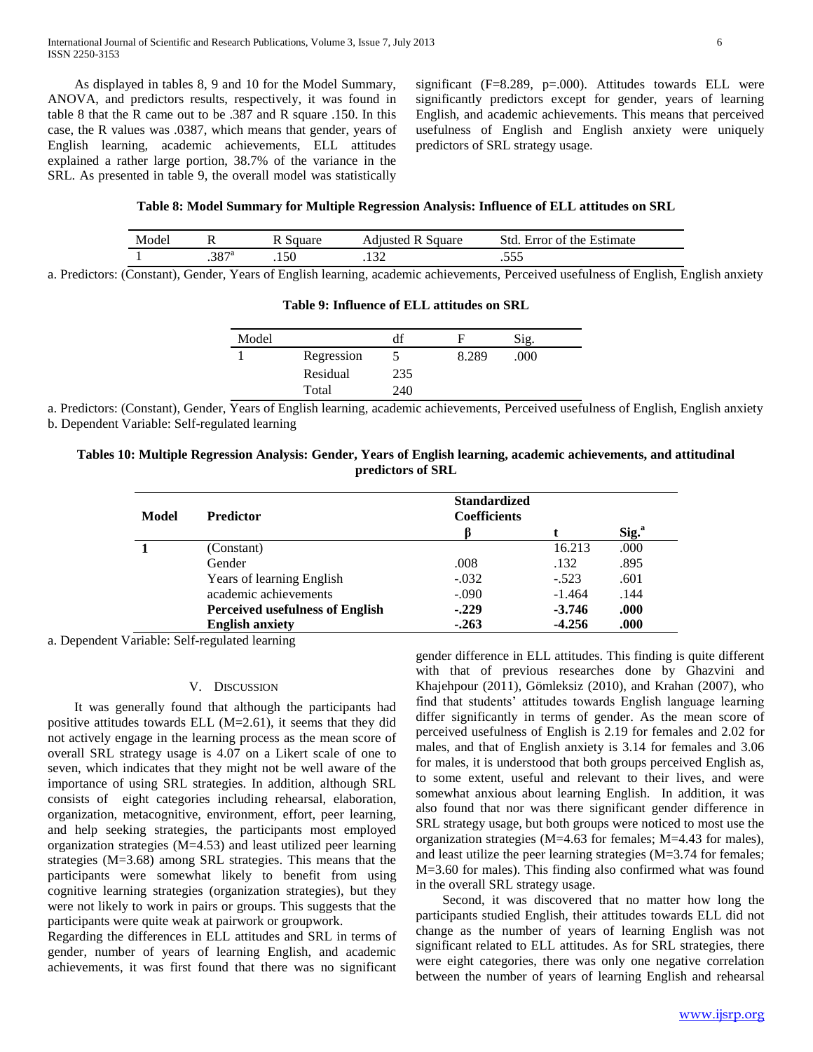As displayed in tables 8, 9 and 10 for the Model Summary, ANOVA, and predictors results, respectively, it was found in table 8 that the R came out to be .387 and R square .150. In this case, the R values was .0387, which means that gender, years of English learning, academic achievements, ELL attitudes explained a rather large portion, 38.7% of the variance in the SRL. As presented in table 9, the overall model was statistically significant  $(F=8.289, p=.000)$ . Attitudes towards ELL were significantly predictors except for gender, years of learning English, and academic achievements. This means that perceived usefulness of English and English anxiety were uniquely predictors of SRL strategy usage.

## **Table 8: Model Summary for Multiple Regression Analysis: Influence of ELL attitudes on SRL**

| Model | --             | <b>Adjusted R Square</b> | Std. Error of the Estimate |  |
|-------|----------------|--------------------------|----------------------------|--|
|       | $.387^{\circ}$ |                          | $\sim\sim$                 |  |

a. Predictors: (Constant), Gender, Years of English learning, academic achievements, Perceived usefulness of English, English anxiety

| Model |            | df  | н     | Sig. |  |
|-------|------------|-----|-------|------|--|
|       | Regression |     | 8.289 | .000 |  |
|       | Residual   | 235 |       |      |  |
|       | Total      | 240 |       |      |  |

## **Table 9: Influence of ELL attitudes on SRL**

a. Predictors: (Constant), Gender, Years of English learning, academic achievements, Perceived usefulness of English, English anxiety b. Dependent Variable: Self-regulated learning

**Tables 10: Multiple Regression Analysis: Gender, Years of English learning, academic achievements, and attitudinal predictors of SRL**

| Model | <b>Predictor</b>                       | <b>Standardized</b><br><b>Coefficients</b> |          |                   |
|-------|----------------------------------------|--------------------------------------------|----------|-------------------|
|       |                                        | ß                                          |          | Sig. <sup>a</sup> |
|       | (Constant)                             |                                            | 16.213   | .000              |
|       | Gender                                 | .008                                       | .132     | .895              |
|       | Years of learning English              | $-.032$                                    | $-.523$  | .601              |
|       | academic achievements                  | $-.090$                                    | $-1.464$ | .144              |
|       | <b>Perceived usefulness of English</b> | $-.229$                                    | $-3.746$ | .000              |
|       | <b>English anxiety</b>                 | $-263$                                     | $-4.256$ | .000              |

a. Dependent Variable: Self-regulated learning

## V. DISCUSSION

 It was generally found that although the participants had positive attitudes towards ELL (M=2.61), it seems that they did not actively engage in the learning process as the mean score of overall SRL strategy usage is 4.07 on a Likert scale of one to seven, which indicates that they might not be well aware of the importance of using SRL strategies. In addition, although SRL consists of eight categories including rehearsal, elaboration, organization, metacognitive, environment, effort, peer learning, and help seeking strategies, the participants most employed organization strategies (M=4.53) and least utilized peer learning strategies (M=3.68) among SRL strategies. This means that the participants were somewhat likely to benefit from using cognitive learning strategies (organization strategies), but they were not likely to work in pairs or groups. This suggests that the participants were quite weak at pairwork or groupwork.

Regarding the differences in ELL attitudes and SRL in terms of gender, number of years of learning English, and academic achievements, it was first found that there was no significant gender difference in ELL attitudes. This finding is quite different with that of previous researches done by Ghazvini and Khajehpour (2011), Gömleksiz (2010), and Krahan (2007), who find that students' attitudes towards English language learning differ significantly in terms of gender. As the mean score of perceived usefulness of English is 2.19 for females and 2.02 for males, and that of English anxiety is 3.14 for females and 3.06 for males, it is understood that both groups perceived English as, to some extent, useful and relevant to their lives, and were somewhat anxious about learning English. In addition, it was also found that nor was there significant gender difference in SRL strategy usage, but both groups were noticed to most use the organization strategies (M=4.63 for females; M=4.43 for males), and least utilize the peer learning strategies (M=3.74 for females; M=3.60 for males). This finding also confirmed what was found in the overall SRL strategy usage.

 Second, it was discovered that no matter how long the participants studied English, their attitudes towards ELL did not change as the number of years of learning English was not significant related to ELL attitudes. As for SRL strategies, there were eight categories, there was only one negative correlation between the number of years of learning English and rehearsal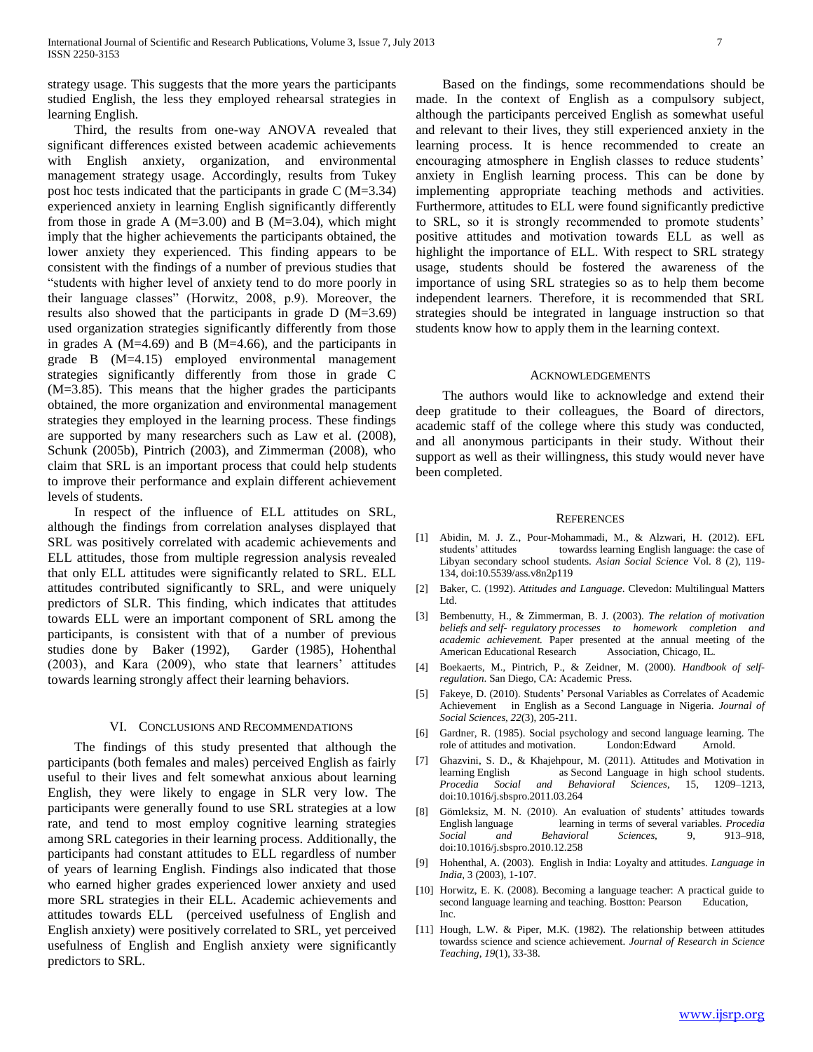strategy usage. This suggests that the more years the participants studied English, the less they employed rehearsal strategies in learning English.

 Third, the results from one-way ANOVA revealed that significant differences existed between academic achievements with English anxiety, organization, and environmental management strategy usage. Accordingly, results from Tukey post hoc tests indicated that the participants in grade C (M=3.34) experienced anxiety in learning English significantly differently from those in grade A ( $M=3.00$ ) and B ( $M=3.04$ ), which might imply that the higher achievements the participants obtained, the lower anxiety they experienced. This finding appears to be consistent with the findings of a number of previous studies that "students with higher level of anxiety tend to do more poorly in their language classes" (Horwitz, 2008, p.9). Moreover, the results also showed that the participants in grade D (M=3.69) used organization strategies significantly differently from those in grades A (M=4.69) and B (M=4.66), and the participants in grade B (M=4.15) employed environmental management strategies significantly differently from those in grade C (M=3.85). This means that the higher grades the participants obtained, the more organization and environmental management strategies they employed in the learning process. These findings are supported by many researchers such as Law et al. (2008), Schunk (2005b), Pintrich (2003), and Zimmerman (2008), who claim that SRL is an important process that could help students to improve their performance and explain different achievement levels of students.

 In respect of the influence of ELL attitudes on SRL, although the findings from correlation analyses displayed that SRL was positively correlated with academic achievements and ELL attitudes, those from multiple regression analysis revealed that only ELL attitudes were significantly related to SRL. ELL attitudes contributed significantly to SRL, and were uniquely predictors of SLR. This finding, which indicates that attitudes towards ELL were an important component of SRL among the participants, is consistent with that of a number of previous studies done by Baker (1992), Garder (1985), Hohenthal (2003), and Kara (2009), who state that learners' attitudes towards learning strongly affect their learning behaviors.

## VI. CONCLUSIONS AND RECOMMENDATIONS

 The findings of this study presented that although the participants (both females and males) perceived English as fairly useful to their lives and felt somewhat anxious about learning English, they were likely to engage in SLR very low. The participants were generally found to use SRL strategies at a low rate, and tend to most employ cognitive learning strategies among SRL categories in their learning process. Additionally, the participants had constant attitudes to ELL regardless of number of years of learning English. Findings also indicated that those who earned higher grades experienced lower anxiety and used more SRL strategies in their ELL. Academic achievements and attitudes towards ELL (perceived usefulness of English and English anxiety) were positively correlated to SRL, yet perceived usefulness of English and English anxiety were significantly predictors to SRL.

 Based on the findings, some recommendations should be made. In the context of English as a compulsory subject, although the participants perceived English as somewhat useful and relevant to their lives, they still experienced anxiety in the learning process. It is hence recommended to create an encouraging atmosphere in English classes to reduce students' anxiety in English learning process. This can be done by implementing appropriate teaching methods and activities. Furthermore, attitudes to ELL were found significantly predictive to SRL, so it is strongly recommended to promote students' positive attitudes and motivation towards ELL as well as highlight the importance of ELL. With respect to SRL strategy usage, students should be fostered the awareness of the importance of using SRL strategies so as to help them become independent learners. Therefore, it is recommended that SRL strategies should be integrated in language instruction so that students know how to apply them in the learning context.

#### ACKNOWLEDGEMENTS

 The authors would like to acknowledge and extend their deep gratitude to their colleagues, the Board of directors, academic staff of the college where this study was conducted, and all anonymous participants in their study. Without their support as well as their willingness, this study would never have been completed.

#### **REFERENCES**

- [1] Abidin, M. J. Z., Pour-Mohammadi, M., & Alzwari, H. (2012). EFL students' attitudes towardss learning English language: the case of Libyan secondary school students. *Asian Social Science* Vol. 8 (2), 119- 134, doi:10.5539/ass.v8n2p119
- [2] Baker, C. (1992). *Attitudes and Language*. Clevedon: Multilingual Matters Ltd.
- [3] Bembenutty, H., & Zimmerman, B. J. (2003). *The relation of motivation beliefs and self- regulatory processes to homework completion and academic achievement.* Paper presented at the annual meeting of the American Educational Research Association, Chicago, IL.
- [4] Boekaerts, M., Pintrich, P., & Zeidner, M. (2000). *Handbook of selfregulation*. San Diego, CA: Academic Press.
- [5] Fakeye, D. (2010). Students" Personal Variables as Correlates of Academic Achievement in English as a Second Language in Nigeria. *Journal of Social Sciences, 22*(3), 205-211.
- [6] Gardner, R. (1985). Social psychology and second language learning. The role of attitudes and motivation. London:Edward Arnold.
- [7] Ghazvini, S. D., & Khajehpour, M. (2011). Attitudes and Motivation in learning English as Second Language in high school students. *Procedia Social and Behavioral Sciences*, 15, 1209–1213, doi:10.1016/j.sbspro.2011.03.264
- [8] Gömleksiz, M. N. (2010). An evaluation of students' attitudes towards English language learning in terms of several variables. *Procedia Social and Behavioral Sciences,* 9, 913–918, doi:10.1016/j.sbspro.2010.12.258
- [9] Hohenthal, A. (2003). English in India: Loyalty and attitudes. *Language in India*, 3 (2003), 1-107.
- [10] Horwitz, E. K. (2008). Becoming a language teacher: A practical guide to second language learning and teaching. Bostton: Pearson Education, Inc.
- [11] Hough, L.W. & Piper, M.K. (1982). The relationship between attitudes towardss science and science achievement. *Journal of Research in Science Teaching*, *19*(1), 33-38.